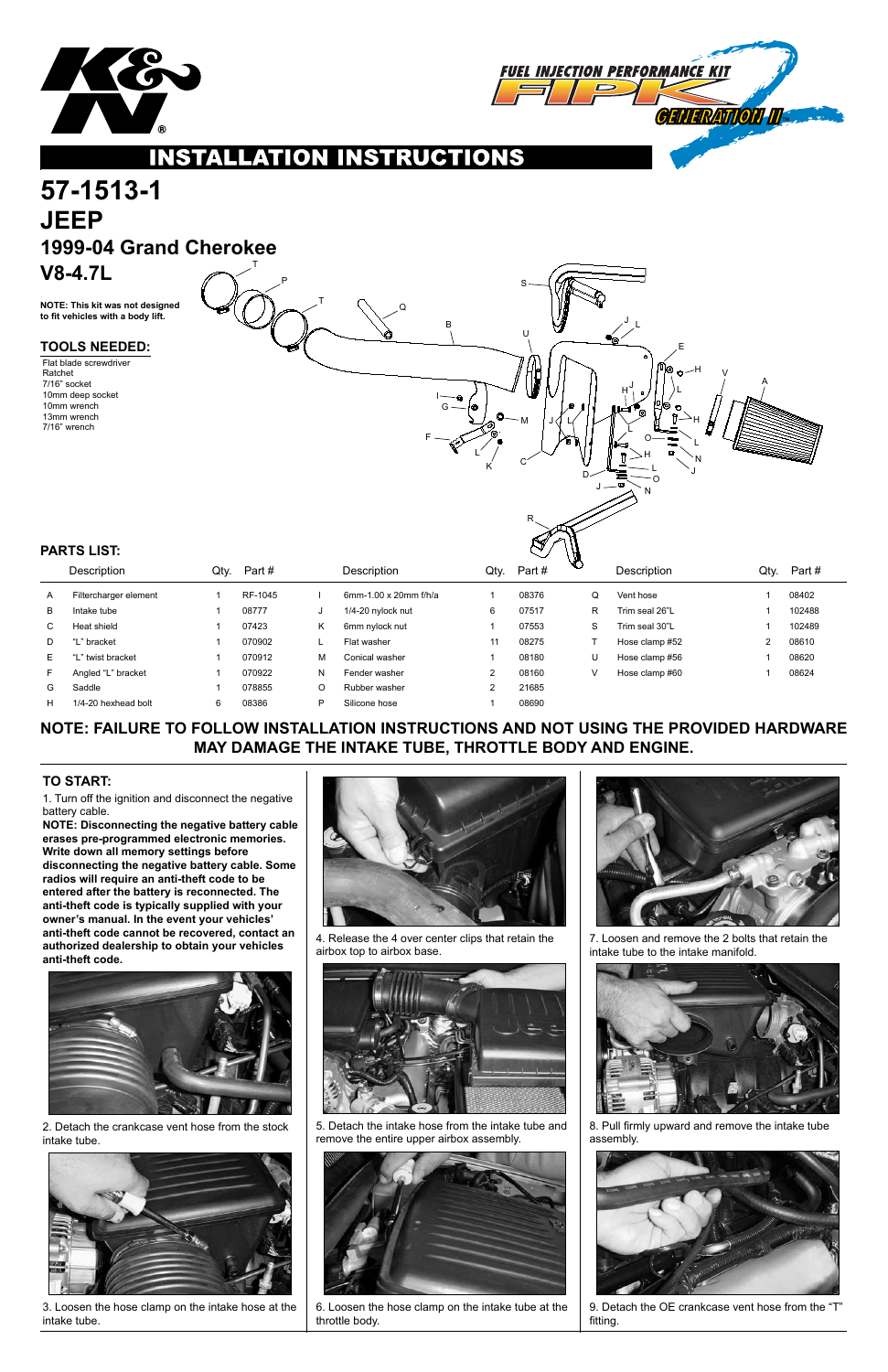



### **INSTALLATION** CT ONS

## **57-1513-1 JEEP 1999-04 Grand Cherokee V8-4.7L** T

## **NOTE: FAILURE TO FOLLOW INSTALLATION INSTRUCTIONS AND NOT USING THE PROVIDED HARDWARE MAY DAMAGE THE INTAKE TUBE, THROTTLE BODY AND ENGINE.**

1. Turn off the ignition and disconnect the negative battery cable.

**NOTE: Disconnecting the negative battery cable erases pre-programmed electronic memories. Write down all memory settings before disconnecting the negative battery cable. Some radios will require an anti-theft code to be entered after the battery is reconnected. The anti-theft code is typically supplied with your owner's manual. In the event your vehicles' anti-theft code cannot be recovered, contact an authorized dealership to obtain your vehicles anti-theft code.**



### **TO START:**

**NOTE: This kit was not designed to fit vehicles with a body lift.**

|    | Description           | Qty. | Part #  |   | Description             | Qtv. | Part# | $\circ$ | Description    | Qty. | Part#  |
|----|-----------------------|------|---------|---|-------------------------|------|-------|---------|----------------|------|--------|
| A  | Filtercharger element |      | RF-1045 |   | 6mm-1.00 x 20mm $f/h/a$ |      | 08376 | Q       | Vent hose      |      | 08402  |
| B  | Intake tube           |      | 08777   |   | 1/4-20 nylock nut       | 6    | 07517 | R       | Trim seal 26"L |      | 102488 |
| C. | Heat shield           |      | 07423   | Κ | 6mm nylock nut          |      | 07553 | S       | Trim seal 30"L |      | 102489 |
| D  | "L" bracket           |      | 070902  |   | Flat washer             | 11   | 08275 |         | Hose clamp #52 | 2    | 08610  |
| E. | "L" twist bracket     |      | 070912  | м | Conical washer          |      | 08180 | U       | Hose clamp #56 |      | 08620  |
| F. | Angled "L" bracket    |      | 070922  | N | Fender washer           | ົ    | 08160 | ν       | Hose clamp #60 |      | 08624  |
| G  | Saddle                |      | 078855  | O | Rubber washer           | ົ    | 21685 |         |                |      |        |
| H  | 1/4-20 hexhead bolt   | 6    | 08386   | P | Silicone hose           |      | 08690 |         |                |      |        |

### **PARTS LIST:**

### **TOOLS NEEDED:**

Flat blade screwdriver Ratchet 7/16" socket 10mm deep socket 10mm wrench 13mm wrench 7/16" wrench



2. Detach the crankcase vent hose from the stock intake tube.



3. Loosen the hose clamp on the intake hose at the intake tube.



4. Release the 4 over center clips that retain the airbox top to airbox base.



5. Detach the intake hose from the intake tube and remove the entire upper airbox assembly.



6. Loosen the hose clamp on the intake tube at the throttle body.



7. Loosen and remove the 2 bolts that retain the intake tube to the intake manifold.



8. Pull firmly upward and remove the intake tube assembly.



9. Detach the OE crankcase vent hose from the "T" fitting.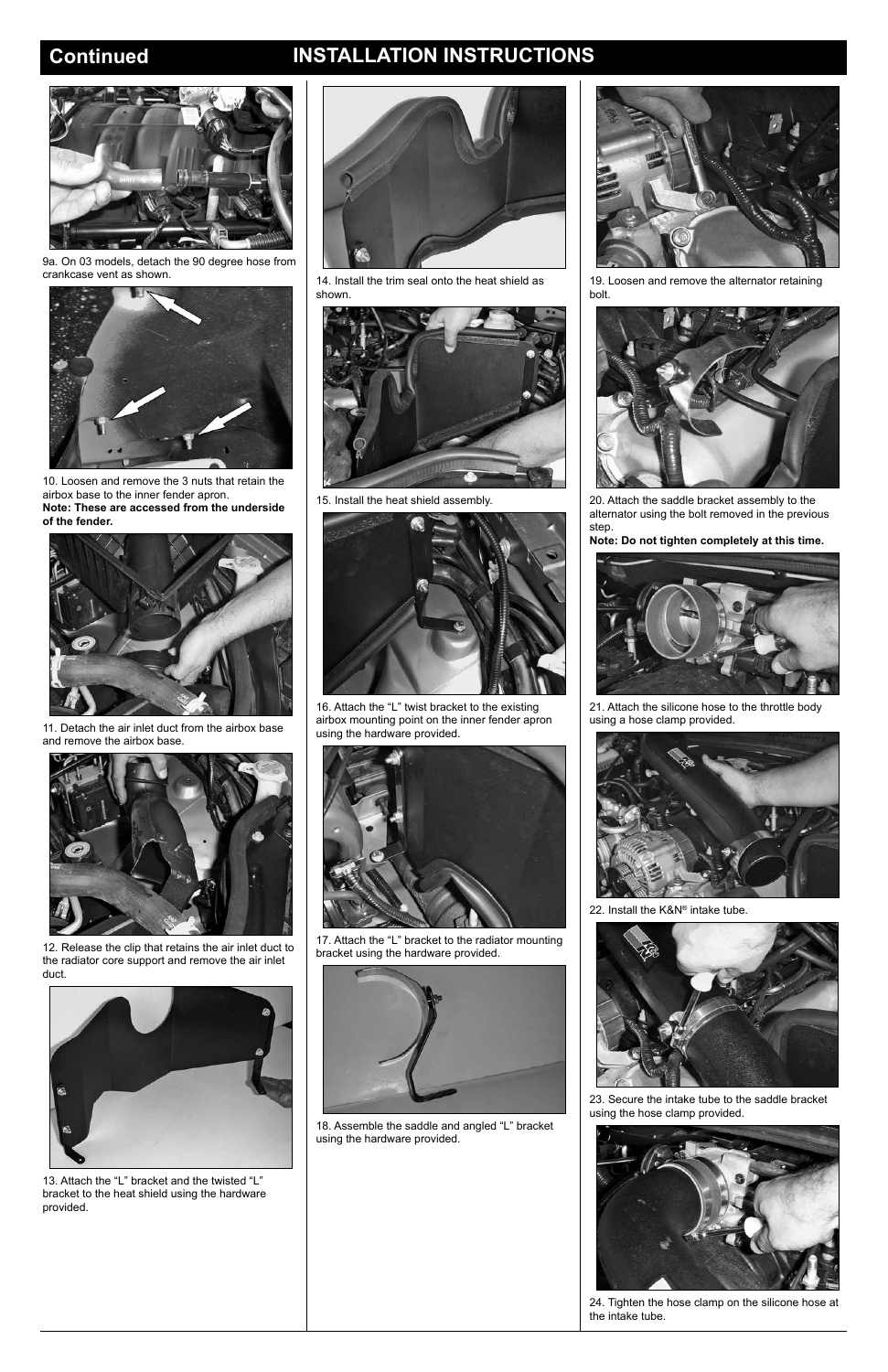# **Continued INSTALLATION INSTRUCTIONS**



9a. On 03 models, detach the 90 degree hose from crankcase vent as shown.



10. Loosen and remove the 3 nuts that retain the airbox base to the inner fender apron. **Note: These are accessed from the underside of the fender.**



11. Detach the air inlet duct from the airbox base and remove the airbox base.



12. Release the clip that retains the air inlet duct to the radiator core support and remove the air inlet duct.



13. Attach the "L" bracket and the twisted "L" bracket to the heat shield using the hardware provided.



14. Install the trim seal onto the heat shield as shown.



15. Install the heat shield assembly.



16. Attach the "L" twist bracket to the existing airbox mounting point on the inner fender apron using the hardware provided.



17. Attach the "L" bracket to the radiator mounting bracket using the hardware provided.



18. Assemble the saddle and angled "L" bracket using the hardware provided.



19. Loosen and remove the alternator retaining bolt.



20. Attach the saddle bracket assembly to the alternator using the bolt removed in the previous step.

**Note: Do not tighten completely at this time.**



21. Attach the silicone hose to the throttle body using a hose clamp provided.



22. Install the K&N® intake tube.



23. Secure the intake tube to the saddle bracket using the hose clamp provided.



24. Tighten the hose clamp on the silicone hose at the intake tube.